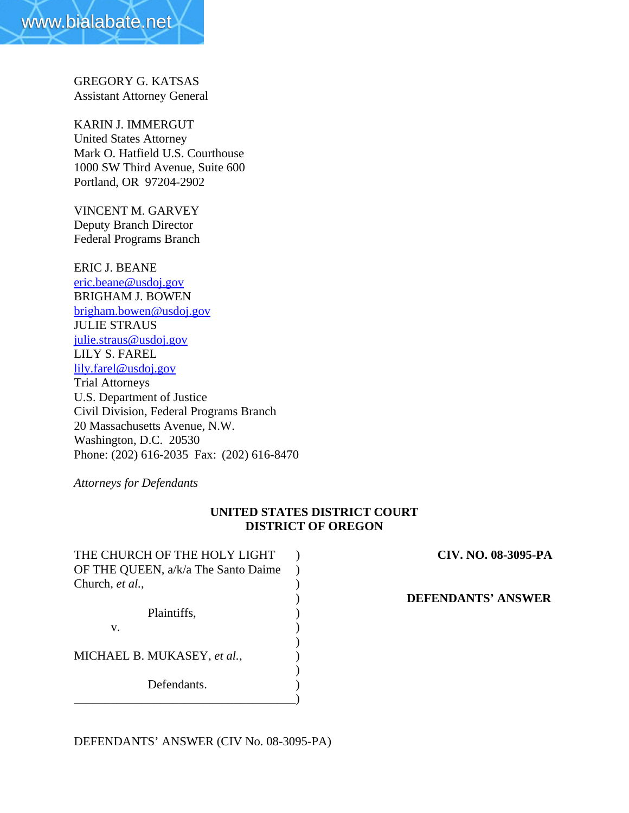GREGORY G. KATSAS Assistant Attorney General

KARIN J. IMMERGUT United States Attorney Mark O. Hatfield U.S. Courthouse 1000 SW Third Avenue, Suite 600 Portland, OR 97204-2902

VINCENT M. GARVEY Deputy Branch Director Federal Programs Branch

ERIC J. BEANE eric.beane@usdoj.gov BRIGHAM J. BOWEN brigham.bowen@usdoj.gov JULIE STRAUS julie.straus@usdoj.gov LILY S. FAREL lily.farel@usdoj.gov Trial Attorneys U.S. Department of Justice Civil Division, Federal Programs Branch 20 Massachusetts Avenue, N.W. Washington, D.C. 20530 Phone: (202) 616-2035 Fax: (202) 616-8470

*Attorneys for Defendants*

# **UNITED STATES DISTRICT COURT DISTRICT OF OREGON**

| THE CHURCH OF THE HOLY LIGHT        |  |
|-------------------------------------|--|
| OF THE QUEEN, a/k/a The Santo Daime |  |
| Church, et al.,                     |  |
|                                     |  |
| Plaintiffs,                         |  |
| v.                                  |  |
|                                     |  |
| MICHAEL B. MUKASEY, et al.,         |  |
|                                     |  |
| Defendants.                         |  |
|                                     |  |

THE CHURCH OF THE HOLY LIGHT ) **CIV. NO. 08-3095-PA**

) **DEFENDANTS' ANSWER**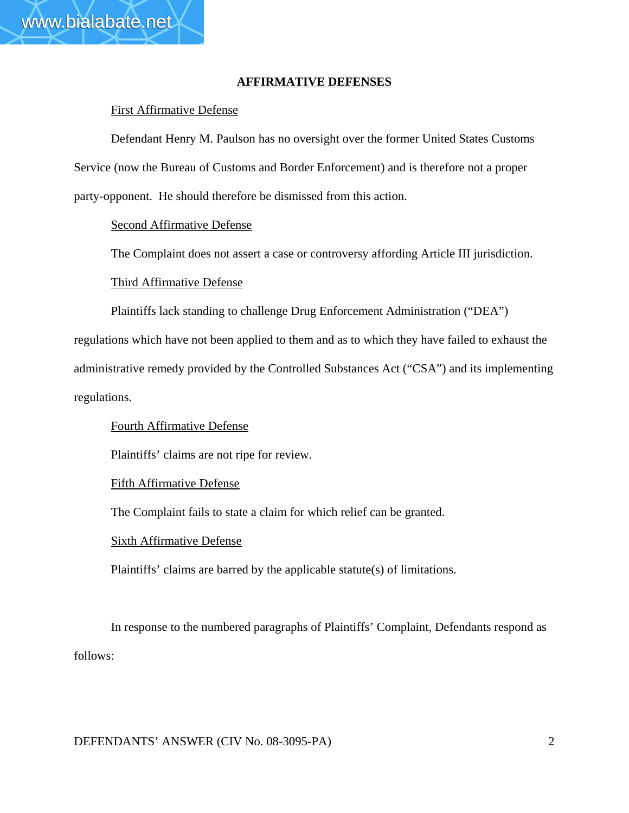# **AFFIRMATIVE DEFENSES**

# First Affirmative Defense

Defendant Henry M. Paulson has no oversight over the former United States Customs Service (now the Bureau of Customs and Border Enforcement) and is therefore not a proper party-opponent. He should therefore be dismissed from this action.

# Second Affirmative Defense

The Complaint does not assert a case or controversy affording Article III jurisdiction.

# Third Affirmative Defense

Plaintiffs lack standing to challenge Drug Enforcement Administration ("DEA")

regulations which have not been applied to them and as to which they have failed to exhaust the administrative remedy provided by the Controlled Substances Act ("CSA") and its implementing regulations.

## Fourth Affirmative Defense

Plaintiffs' claims are not ripe for review.

## Fifth Affirmative Defense

The Complaint fails to state a claim for which relief can be granted.

## Sixth Affirmative Defense

Plaintiffs' claims are barred by the applicable statute(s) of limitations.

In response to the numbered paragraphs of Plaintiffs' Complaint, Defendants respond as follows: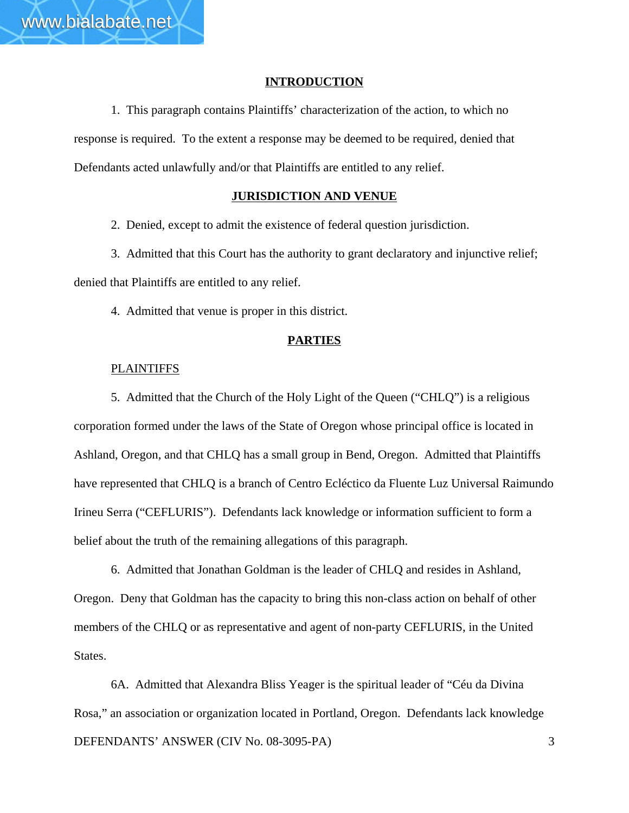### **INTRODUCTION**

1. This paragraph contains Plaintiffs' characterization of the action, to which no response is required. To the extent a response may be deemed to be required, denied that Defendants acted unlawfully and/or that Plaintiffs are entitled to any relief.

#### **JURISDICTION AND VENUE**

2. Denied, except to admit the existence of federal question jurisdiction.

3. Admitted that this Court has the authority to grant declaratory and injunctive relief; denied that Plaintiffs are entitled to any relief.

4. Admitted that venue is proper in this district.

### **PARTIES**

#### **PLAINTIFFS**

5. Admitted that the Church of the Holy Light of the Queen ("CHLQ") is a religious corporation formed under the laws of the State of Oregon whose principal office is located in Ashland, Oregon, and that CHLQ has a small group in Bend, Oregon. Admitted that Plaintiffs have represented that CHLQ is a branch of Centro Ecléctico da Fluente Luz Universal Raimundo Irineu Serra ("CEFLURIS"). Defendants lack knowledge or information sufficient to form a belief about the truth of the remaining allegations of this paragraph.

6. Admitted that Jonathan Goldman is the leader of CHLQ and resides in Ashland, Oregon. Deny that Goldman has the capacity to bring this non-class action on behalf of other members of the CHLQ or as representative and agent of non-party CEFLURIS, in the United States.

DEFENDANTS' ANSWER (CIV No. 08-3095-PA) 3 6A. Admitted that Alexandra Bliss Yeager is the spiritual leader of "Céu da Divina Rosa," an association or organization located in Portland, Oregon. Defendants lack knowledge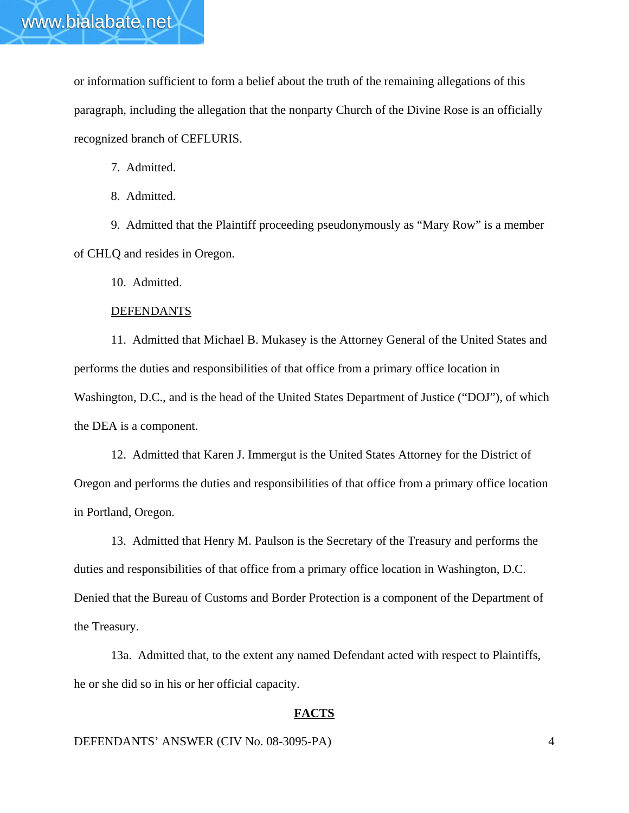or information sufficient to form a belief about the truth of the remaining allegations of this paragraph, including the allegation that the nonparty Church of the Divine Rose is an officially recognized branch of CEFLURIS.

7. Admitted.

8. Admitted.

9. Admitted that the Plaintiff proceeding pseudonymously as "Mary Row" is a member of CHLQ and resides in Oregon.

10. Admitted.

### **DEFENDANTS**

11. Admitted that Michael B. Mukasey is the Attorney General of the United States and performs the duties and responsibilities of that office from a primary office location in Washington, D.C., and is the head of the United States Department of Justice ("DOJ"), of which the DEA is a component.

12. Admitted that Karen J. Immergut is the United States Attorney for the District of Oregon and performs the duties and responsibilities of that office from a primary office location in Portland, Oregon.

13. Admitted that Henry M. Paulson is the Secretary of the Treasury and performs the duties and responsibilities of that office from a primary office location in Washington, D.C. Denied that the Bureau of Customs and Border Protection is a component of the Department of the Treasury.

13a. Admitted that, to the extent any named Defendant acted with respect to Plaintiffs, he or she did so in his or her official capacity.

### **FACTS**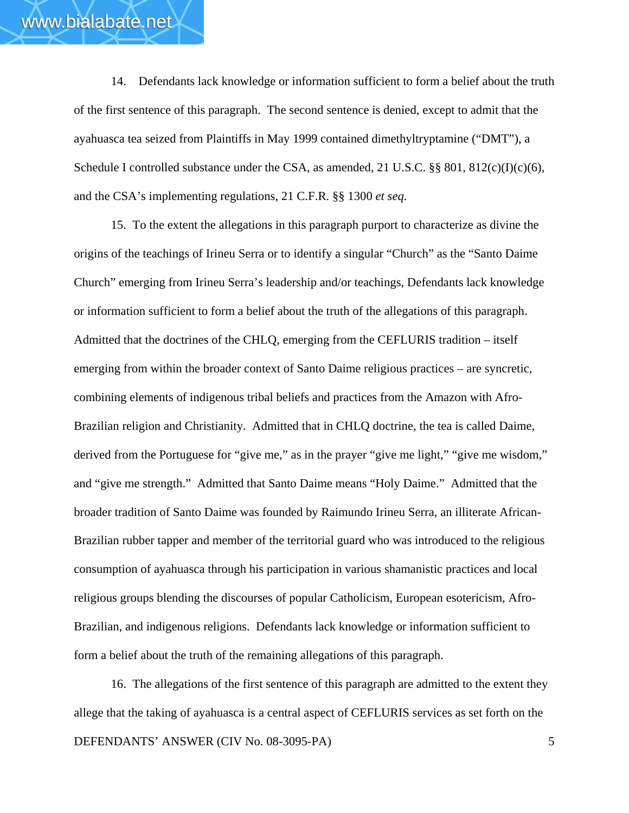14. Defendants lack knowledge or information sufficient to form a belief about the truth of the first sentence of this paragraph. The second sentence is denied, except to admit that the ayahuasca tea seized from Plaintiffs in May 1999 contained dimethyltryptamine ("DMT"), a Schedule I controlled substance under the CSA, as amended, 21 U.S.C. §§ 801, 812(c)(I)(c)(6), and the CSA's implementing regulations, 21 C.F.R. §§ 1300 *et seq.* 

15. To the extent the allegations in this paragraph purport to characterize as divine the origins of the teachings of Irineu Serra or to identify a singular "Church" as the "Santo Daime Church" emerging from Irineu Serra's leadership and/or teachings, Defendants lack knowledge or information sufficient to form a belief about the truth of the allegations of this paragraph. Admitted that the doctrines of the CHLQ, emerging from the CEFLURIS tradition – itself emerging from within the broader context of Santo Daime religious practices – are syncretic, combining elements of indigenous tribal beliefs and practices from the Amazon with Afro-Brazilian religion and Christianity. Admitted that in CHLQ doctrine, the tea is called Daime, derived from the Portuguese for "give me," as in the prayer "give me light," "give me wisdom," and "give me strength." Admitted that Santo Daime means "Holy Daime." Admitted that the broader tradition of Santo Daime was founded by Raimundo Irineu Serra, an illiterate African-Brazilian rubber tapper and member of the territorial guard who was introduced to the religious consumption of ayahuasca through his participation in various shamanistic practices and local religious groups blending the discourses of popular Catholicism, European esotericism, Afro-Brazilian, and indigenous religions. Defendants lack knowledge or information sufficient to form a belief about the truth of the remaining allegations of this paragraph.

DEFENDANTS' ANSWER (CIV No. 08-3095-PA) 5 16. The allegations of the first sentence of this paragraph are admitted to the extent they allege that the taking of ayahuasca is a central aspect of CEFLURIS services as set forth on the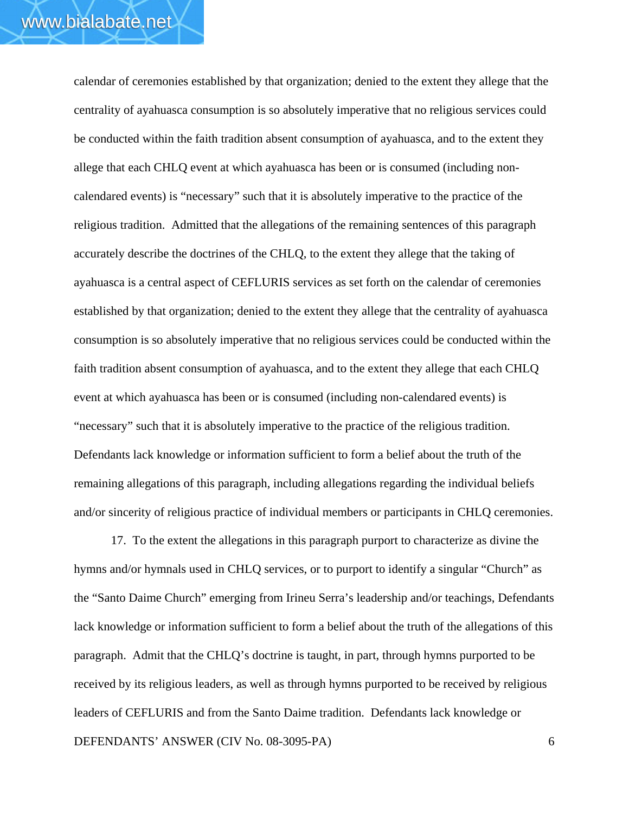calendar of ceremonies established by that organization; denied to the extent they allege that the centrality of ayahuasca consumption is so absolutely imperative that no religious services could be conducted within the faith tradition absent consumption of ayahuasca, and to the extent they allege that each CHLQ event at which ayahuasca has been or is consumed (including noncalendared events) is "necessary" such that it is absolutely imperative to the practice of the religious tradition. Admitted that the allegations of the remaining sentences of this paragraph accurately describe the doctrines of the CHLQ, to the extent they allege that the taking of ayahuasca is a central aspect of CEFLURIS services as set forth on the calendar of ceremonies established by that organization; denied to the extent they allege that the centrality of ayahuasca consumption is so absolutely imperative that no religious services could be conducted within the faith tradition absent consumption of ayahuasca, and to the extent they allege that each CHLQ event at which ayahuasca has been or is consumed (including non-calendared events) is "necessary" such that it is absolutely imperative to the practice of the religious tradition. Defendants lack knowledge or information sufficient to form a belief about the truth of the remaining allegations of this paragraph, including allegations regarding the individual beliefs and/or sincerity of religious practice of individual members or participants in CHLQ ceremonies.

DEFENDANTS' ANSWER (CIV No. 08-3095-PA) 6 17. To the extent the allegations in this paragraph purport to characterize as divine the hymns and/or hymnals used in CHLQ services, or to purport to identify a singular "Church" as the "Santo Daime Church" emerging from Irineu Serra's leadership and/or teachings, Defendants lack knowledge or information sufficient to form a belief about the truth of the allegations of this paragraph. Admit that the CHLQ's doctrine is taught, in part, through hymns purported to be received by its religious leaders, as well as through hymns purported to be received by religious leaders of CEFLURIS and from the Santo Daime tradition. Defendants lack knowledge or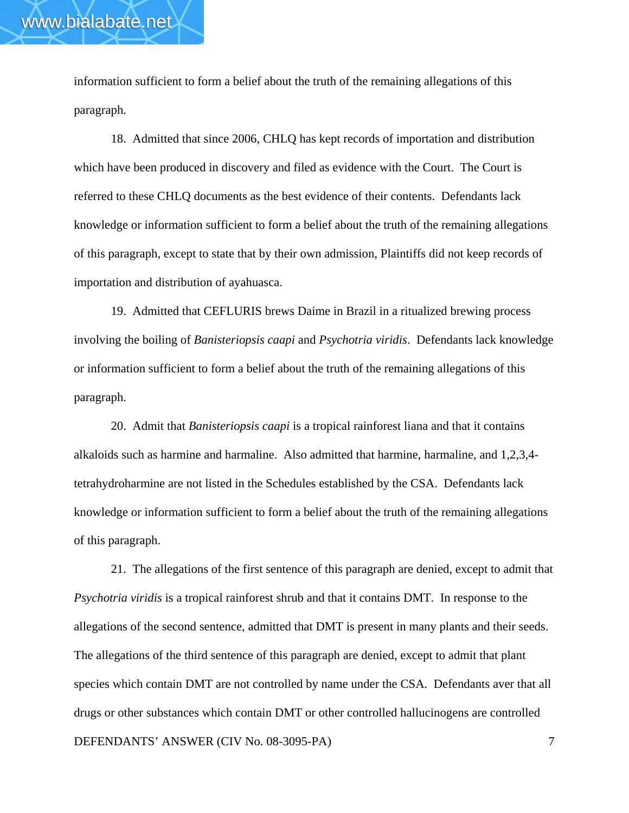information sufficient to form a belief about the truth of the remaining allegations of this paragraph.

www.bialabate.net

18. Admitted that since 2006, CHLQ has kept records of importation and distribution which have been produced in discovery and filed as evidence with the Court. The Court is referred to these CHLQ documents as the best evidence of their contents. Defendants lack knowledge or information sufficient to form a belief about the truth of the remaining allegations of this paragraph, except to state that by their own admission, Plaintiffs did not keep records of importation and distribution of ayahuasca.

19. Admitted that CEFLURIS brews Daime in Brazil in a ritualized brewing process involving the boiling of *Banisteriopsis caapi* and *Psychotria viridis*. Defendants lack knowledge or information sufficient to form a belief about the truth of the remaining allegations of this paragraph.

20. Admit that *Banisteriopsis caapi* is a tropical rainforest liana and that it contains alkaloids such as harmine and harmaline. Also admitted that harmine, harmaline, and 1,2,3,4 tetrahydroharmine are not listed in the Schedules established by the CSA. Defendants lack knowledge or information sufficient to form a belief about the truth of the remaining allegations of this paragraph.

DEFENDANTS' ANSWER (CIV No. 08-3095-PA) 7 21. The allegations of the first sentence of this paragraph are denied, except to admit that *Psychotria viridis* is a tropical rainforest shrub and that it contains DMT. In response to the allegations of the second sentence, admitted that DMT is present in many plants and their seeds. The allegations of the third sentence of this paragraph are denied, except to admit that plant species which contain DMT are not controlled by name under the CSA. Defendants aver that all drugs or other substances which contain DMT or other controlled hallucinogens are controlled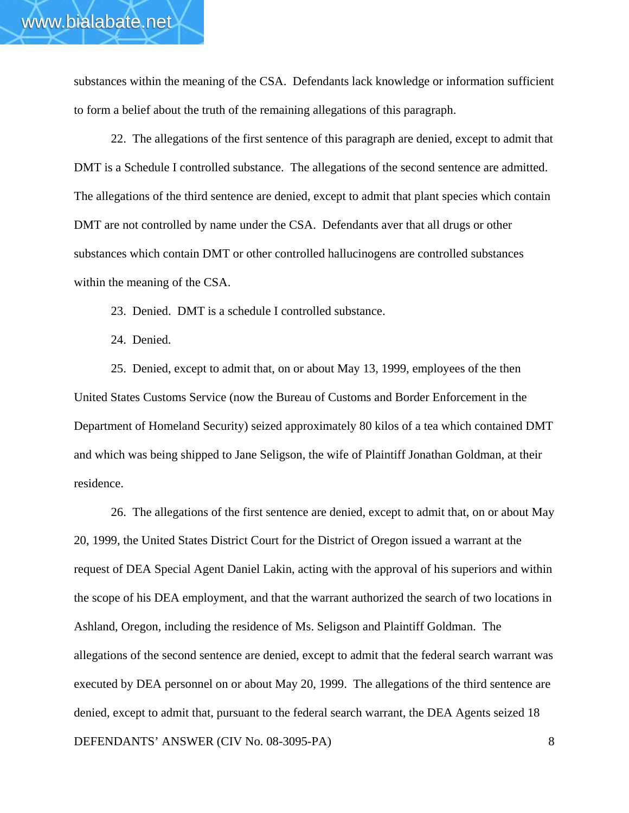substances within the meaning of the CSA. Defendants lack knowledge or information sufficient to form a belief about the truth of the remaining allegations of this paragraph.

22. The allegations of the first sentence of this paragraph are denied, except to admit that DMT is a Schedule I controlled substance. The allegations of the second sentence are admitted. The allegations of the third sentence are denied, except to admit that plant species which contain DMT are not controlled by name under the CSA. Defendants aver that all drugs or other substances which contain DMT or other controlled hallucinogens are controlled substances within the meaning of the CSA.

23. Denied. DMT is a schedule I controlled substance.

24. Denied.

25. Denied, except to admit that, on or about May 13, 1999, employees of the then United States Customs Service (now the Bureau of Customs and Border Enforcement in the Department of Homeland Security) seized approximately 80 kilos of a tea which contained DMT and which was being shipped to Jane Seligson, the wife of Plaintiff Jonathan Goldman, at their residence.

DEFENDANTS' ANSWER (CIV No. 08-3095-PA) 8 26. The allegations of the first sentence are denied, except to admit that, on or about May 20, 1999, the United States District Court for the District of Oregon issued a warrant at the request of DEA Special Agent Daniel Lakin, acting with the approval of his superiors and within the scope of his DEA employment, and that the warrant authorized the search of two locations in Ashland, Oregon, including the residence of Ms. Seligson and Plaintiff Goldman. The allegations of the second sentence are denied, except to admit that the federal search warrant was executed by DEA personnel on or about May 20, 1999. The allegations of the third sentence are denied, except to admit that, pursuant to the federal search warrant, the DEA Agents seized 18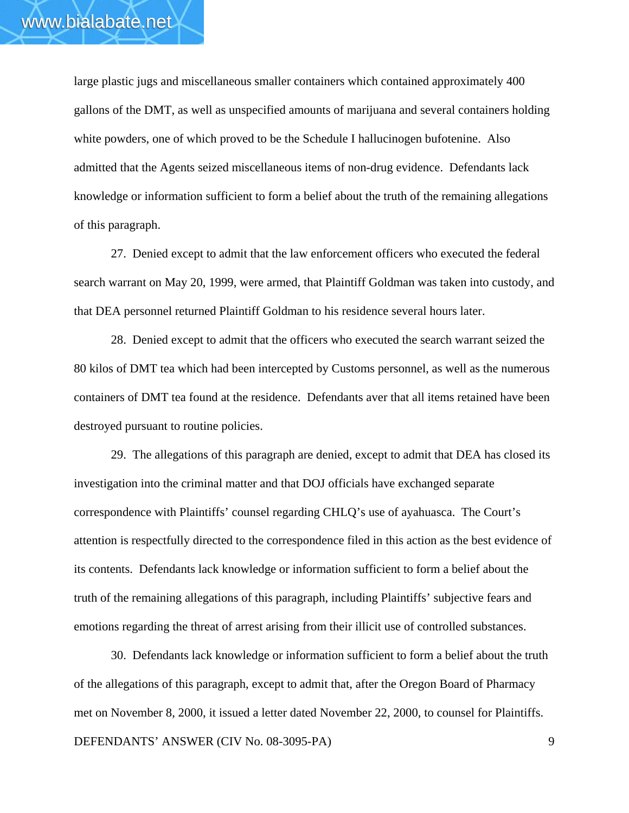large plastic jugs and miscellaneous smaller containers which contained approximately 400 gallons of the DMT, as well as unspecified amounts of marijuana and several containers holding white powders, one of which proved to be the Schedule I hallucinogen bufotenine. Also admitted that the Agents seized miscellaneous items of non-drug evidence. Defendants lack knowledge or information sufficient to form a belief about the truth of the remaining allegations of this paragraph.

27. Denied except to admit that the law enforcement officers who executed the federal search warrant on May 20, 1999, were armed, that Plaintiff Goldman was taken into custody, and that DEA personnel returned Plaintiff Goldman to his residence several hours later.

28. Denied except to admit that the officers who executed the search warrant seized the 80 kilos of DMT tea which had been intercepted by Customs personnel, as well as the numerous containers of DMT tea found at the residence. Defendants aver that all items retained have been destroyed pursuant to routine policies.

29. The allegations of this paragraph are denied, except to admit that DEA has closed its investigation into the criminal matter and that DOJ officials have exchanged separate correspondence with Plaintiffs' counsel regarding CHLQ's use of ayahuasca. The Court's attention is respectfully directed to the correspondence filed in this action as the best evidence of its contents. Defendants lack knowledge or information sufficient to form a belief about the truth of the remaining allegations of this paragraph, including Plaintiffs' subjective fears and emotions regarding the threat of arrest arising from their illicit use of controlled substances.

DEFENDANTS' ANSWER (CIV No. 08-3095-PA) 9 30. Defendants lack knowledge or information sufficient to form a belief about the truth of the allegations of this paragraph, except to admit that, after the Oregon Board of Pharmacy met on November 8, 2000, it issued a letter dated November 22, 2000, to counsel for Plaintiffs.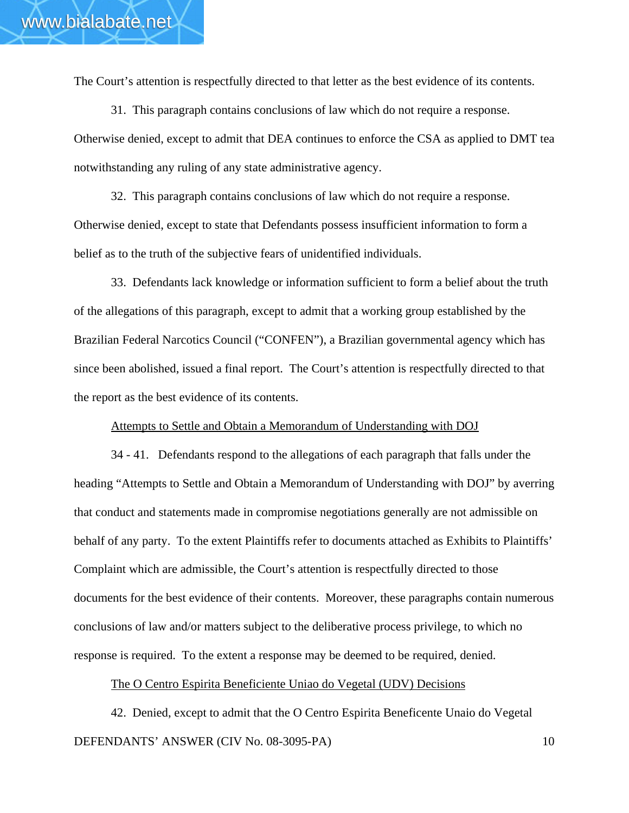The Court's attention is respectfully directed to that letter as the best evidence of its contents.

31. This paragraph contains conclusions of law which do not require a response. Otherwise denied, except to admit that DEA continues to enforce the CSA as applied to DMT tea notwithstanding any ruling of any state administrative agency.

32. This paragraph contains conclusions of law which do not require a response. Otherwise denied, except to state that Defendants possess insufficient information to form a belief as to the truth of the subjective fears of unidentified individuals.

33. Defendants lack knowledge or information sufficient to form a belief about the truth of the allegations of this paragraph, except to admit that a working group established by the Brazilian Federal Narcotics Council ("CONFEN"), a Brazilian governmental agency which has since been abolished, issued a final report. The Court's attention is respectfully directed to that the report as the best evidence of its contents.

#### Attempts to Settle and Obtain a Memorandum of Understanding with DOJ

34 - 41. Defendants respond to the allegations of each paragraph that falls under the heading "Attempts to Settle and Obtain a Memorandum of Understanding with DOJ" by averring that conduct and statements made in compromise negotiations generally are not admissible on behalf of any party. To the extent Plaintiffs refer to documents attached as Exhibits to Plaintiffs' Complaint which are admissible, the Court's attention is respectfully directed to those documents for the best evidence of their contents. Moreover, these paragraphs contain numerous conclusions of law and/or matters subject to the deliberative process privilege, to which no response is required. To the extent a response may be deemed to be required, denied.

## The O Centro Espirita Beneficiente Uniao do Vegetal (UDV) Decisions

DEFENDANTS' ANSWER (CIV No. 08-3095-PA) 10 42. Denied, except to admit that the O Centro Espirita Beneficente Unaio do Vegetal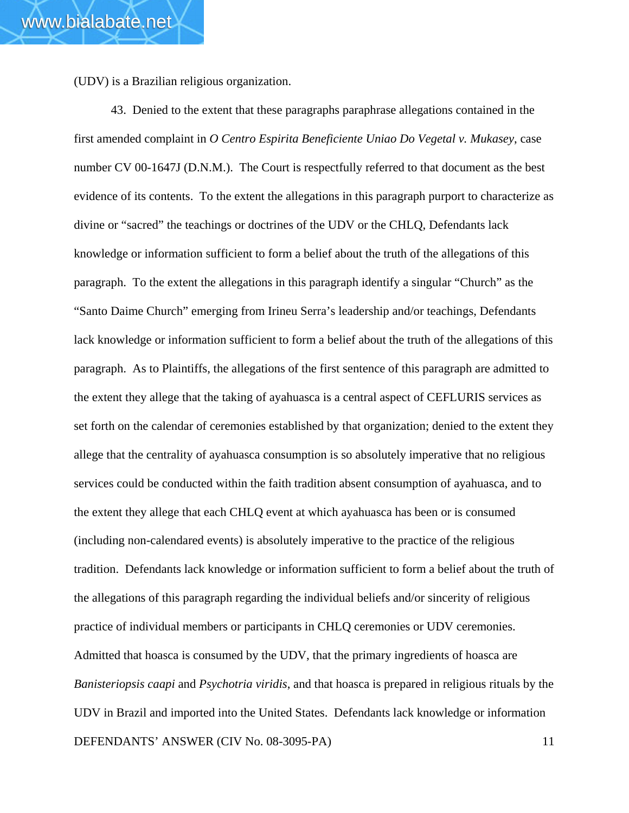(UDV) is a Brazilian religious organization.

DEFENDANTS' ANSWER (CIV No. 08-3095-PA) 11 43. Denied to the extent that these paragraphs paraphrase allegations contained in the first amended complaint in *O Centro Espirita Beneficiente Uniao Do Vegetal v. Mukasey*, case number CV 00-1647J (D.N.M.). The Court is respectfully referred to that document as the best evidence of its contents. To the extent the allegations in this paragraph purport to characterize as divine or "sacred" the teachings or doctrines of the UDV or the CHLQ, Defendants lack knowledge or information sufficient to form a belief about the truth of the allegations of this paragraph. To the extent the allegations in this paragraph identify a singular "Church" as the "Santo Daime Church" emerging from Irineu Serra's leadership and/or teachings, Defendants lack knowledge or information sufficient to form a belief about the truth of the allegations of this paragraph. As to Plaintiffs, the allegations of the first sentence of this paragraph are admitted to the extent they allege that the taking of ayahuasca is a central aspect of CEFLURIS services as set forth on the calendar of ceremonies established by that organization; denied to the extent they allege that the centrality of ayahuasca consumption is so absolutely imperative that no religious services could be conducted within the faith tradition absent consumption of ayahuasca, and to the extent they allege that each CHLQ event at which ayahuasca has been or is consumed (including non-calendared events) is absolutely imperative to the practice of the religious tradition. Defendants lack knowledge or information sufficient to form a belief about the truth of the allegations of this paragraph regarding the individual beliefs and/or sincerity of religious practice of individual members or participants in CHLQ ceremonies or UDV ceremonies. Admitted that hoasca is consumed by the UDV, that the primary ingredients of hoasca are *Banisteriopsis caapi* and *Psychotria viridis*, and that hoasca is prepared in religious rituals by the UDV in Brazil and imported into the United States. Defendants lack knowledge or information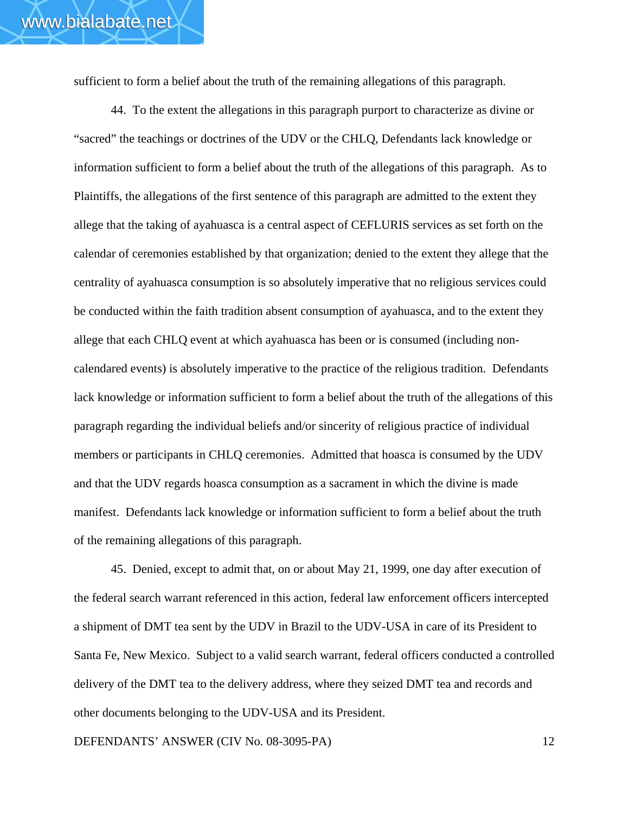sufficient to form a belief about the truth of the remaining allegations of this paragraph.

44. To the extent the allegations in this paragraph purport to characterize as divine or "sacred" the teachings or doctrines of the UDV or the CHLQ, Defendants lack knowledge or information sufficient to form a belief about the truth of the allegations of this paragraph. As to Plaintiffs, the allegations of the first sentence of this paragraph are admitted to the extent they allege that the taking of ayahuasca is a central aspect of CEFLURIS services as set forth on the calendar of ceremonies established by that organization; denied to the extent they allege that the centrality of ayahuasca consumption is so absolutely imperative that no religious services could be conducted within the faith tradition absent consumption of ayahuasca, and to the extent they allege that each CHLQ event at which ayahuasca has been or is consumed (including noncalendared events) is absolutely imperative to the practice of the religious tradition. Defendants lack knowledge or information sufficient to form a belief about the truth of the allegations of this paragraph regarding the individual beliefs and/or sincerity of religious practice of individual members or participants in CHLQ ceremonies. Admitted that hoasca is consumed by the UDV and that the UDV regards hoasca consumption as a sacrament in which the divine is made manifest. Defendants lack knowledge or information sufficient to form a belief about the truth of the remaining allegations of this paragraph.

45. Denied, except to admit that, on or about May 21, 1999, one day after execution of the federal search warrant referenced in this action, federal law enforcement officers intercepted a shipment of DMT tea sent by the UDV in Brazil to the UDV-USA in care of its President to Santa Fe, New Mexico. Subject to a valid search warrant, federal officers conducted a controlled delivery of the DMT tea to the delivery address, where they seized DMT tea and records and other documents belonging to the UDV-USA and its President.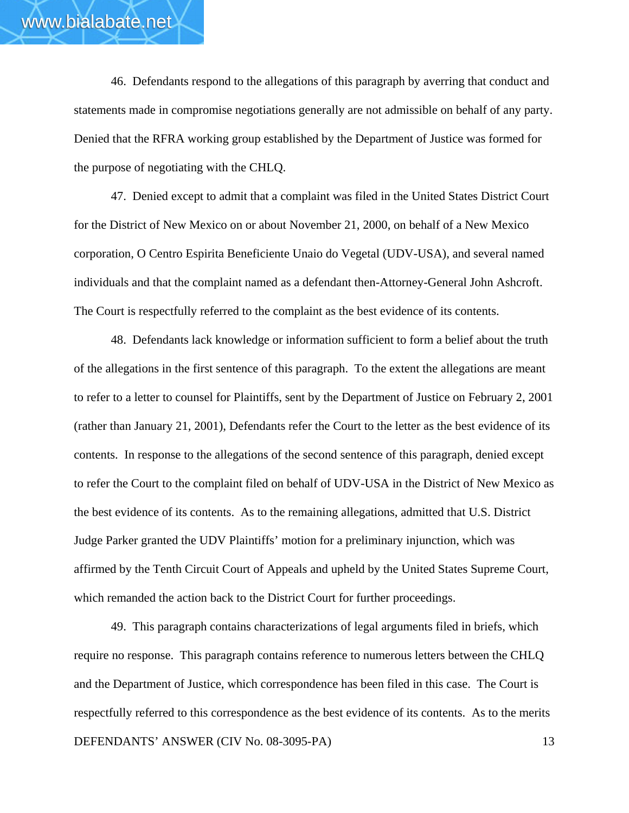46. Defendants respond to the allegations of this paragraph by averring that conduct and statements made in compromise negotiations generally are not admissible on behalf of any party. Denied that the RFRA working group established by the Department of Justice was formed for the purpose of negotiating with the CHLQ.

47. Denied except to admit that a complaint was filed in the United States District Court for the District of New Mexico on or about November 21, 2000, on behalf of a New Mexico corporation, O Centro Espirita Beneficiente Unaio do Vegetal (UDV-USA), and several named individuals and that the complaint named as a defendant then-Attorney-General John Ashcroft. The Court is respectfully referred to the complaint as the best evidence of its contents.

48. Defendants lack knowledge or information sufficient to form a belief about the truth of the allegations in the first sentence of this paragraph. To the extent the allegations are meant to refer to a letter to counsel for Plaintiffs, sent by the Department of Justice on February 2, 2001 (rather than January 21, 2001), Defendants refer the Court to the letter as the best evidence of its contents. In response to the allegations of the second sentence of this paragraph, denied except to refer the Court to the complaint filed on behalf of UDV-USA in the District of New Mexico as the best evidence of its contents. As to the remaining allegations, admitted that U.S. District Judge Parker granted the UDV Plaintiffs' motion for a preliminary injunction, which was affirmed by the Tenth Circuit Court of Appeals and upheld by the United States Supreme Court, which remanded the action back to the District Court for further proceedings.

DEFENDANTS' ANSWER (CIV No. 08-3095-PA) 13 49. This paragraph contains characterizations of legal arguments filed in briefs, which require no response. This paragraph contains reference to numerous letters between the CHLQ and the Department of Justice, which correspondence has been filed in this case. The Court is respectfully referred to this correspondence as the best evidence of its contents. As to the merits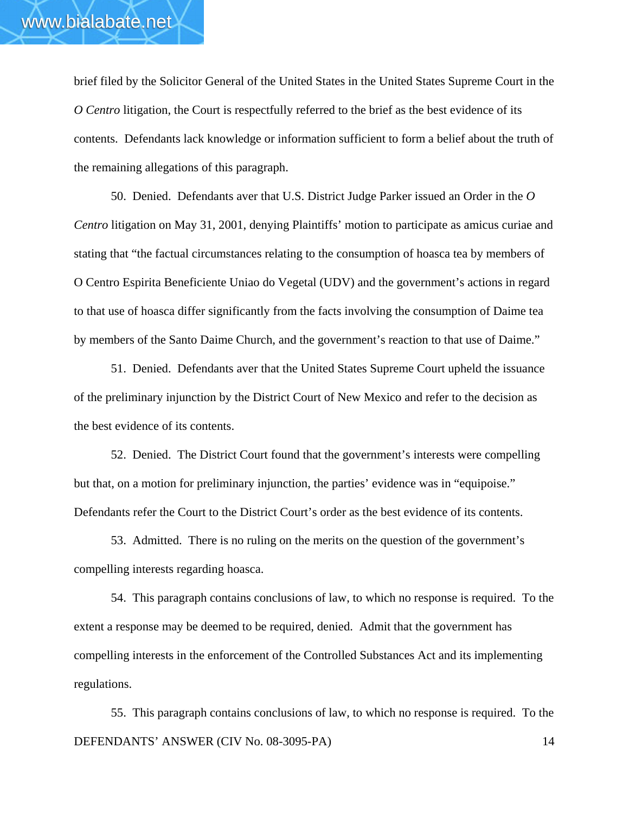brief filed by the Solicitor General of the United States in the United States Supreme Court in the *O Centro* litigation, the Court is respectfully referred to the brief as the best evidence of its contents. Defendants lack knowledge or information sufficient to form a belief about the truth of the remaining allegations of this paragraph.

50. Denied. Defendants aver that U.S. District Judge Parker issued an Order in the *O Centro* litigation on May 31, 2001, denying Plaintiffs' motion to participate as amicus curiae and stating that "the factual circumstances relating to the consumption of hoasca tea by members of O Centro Espirita Beneficiente Uniao do Vegetal (UDV) and the government's actions in regard to that use of hoasca differ significantly from the facts involving the consumption of Daime tea by members of the Santo Daime Church, and the government's reaction to that use of Daime."

51. Denied. Defendants aver that the United States Supreme Court upheld the issuance of the preliminary injunction by the District Court of New Mexico and refer to the decision as the best evidence of its contents.

52. Denied. The District Court found that the government's interests were compelling but that, on a motion for preliminary injunction, the parties' evidence was in "equipoise." Defendants refer the Court to the District Court's order as the best evidence of its contents.

53. Admitted. There is no ruling on the merits on the question of the government's compelling interests regarding hoasca.

54. This paragraph contains conclusions of law, to which no response is required. To the extent a response may be deemed to be required, denied. Admit that the government has compelling interests in the enforcement of the Controlled Substances Act and its implementing regulations.

DEFENDANTS' ANSWER (CIV No. 08-3095-PA) 14 55. This paragraph contains conclusions of law, to which no response is required. To the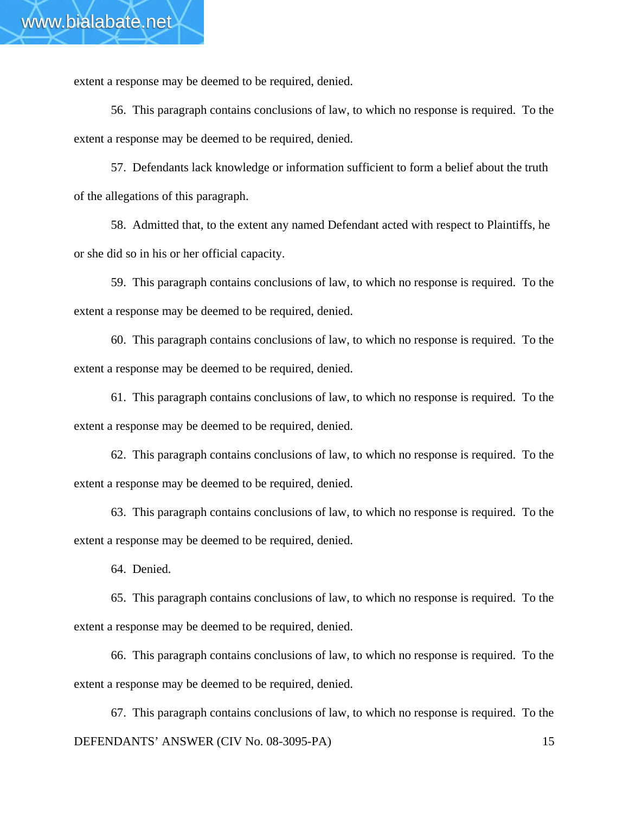extent a response may be deemed to be required, denied.

56. This paragraph contains conclusions of law, to which no response is required. To the extent a response may be deemed to be required, denied.

57. Defendants lack knowledge or information sufficient to form a belief about the truth of the allegations of this paragraph.

58. Admitted that, to the extent any named Defendant acted with respect to Plaintiffs, he or she did so in his or her official capacity.

59. This paragraph contains conclusions of law, to which no response is required. To the extent a response may be deemed to be required, denied.

60. This paragraph contains conclusions of law, to which no response is required. To the extent a response may be deemed to be required, denied.

61. This paragraph contains conclusions of law, to which no response is required. To the extent a response may be deemed to be required, denied.

62. This paragraph contains conclusions of law, to which no response is required. To the extent a response may be deemed to be required, denied.

63. This paragraph contains conclusions of law, to which no response is required. To the extent a response may be deemed to be required, denied.

64. Denied.

65. This paragraph contains conclusions of law, to which no response is required. To the extent a response may be deemed to be required, denied.

66. This paragraph contains conclusions of law, to which no response is required. To the extent a response may be deemed to be required, denied.

DEFENDANTS' ANSWER (CIV No. 08-3095-PA) 15 67. This paragraph contains conclusions of law, to which no response is required. To the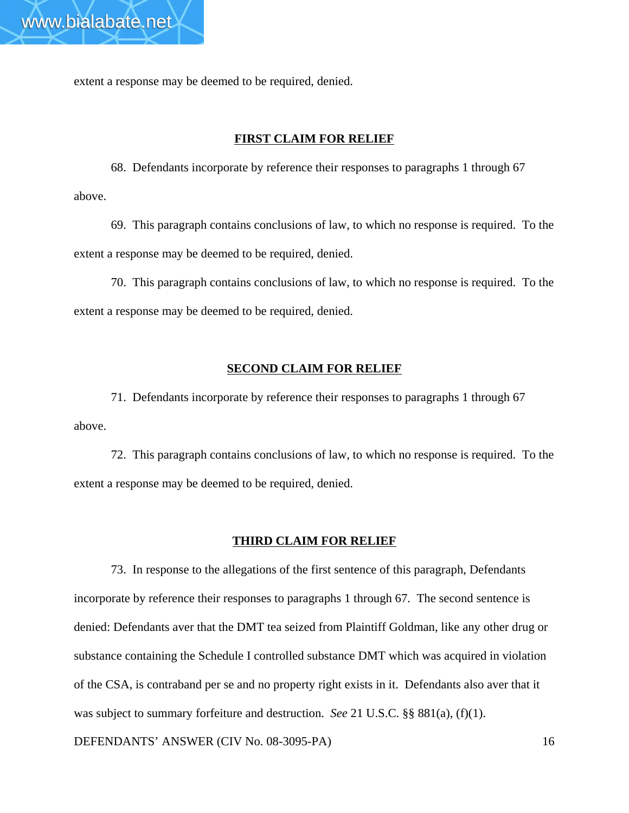extent a response may be deemed to be required, denied.

### **FIRST CLAIM FOR RELIEF**

68. Defendants incorporate by reference their responses to paragraphs 1 through 67 above.

69. This paragraph contains conclusions of law, to which no response is required. To the extent a response may be deemed to be required, denied.

70. This paragraph contains conclusions of law, to which no response is required. To the extent a response may be deemed to be required, denied.

### **SECOND CLAIM FOR RELIEF**

71. Defendants incorporate by reference their responses to paragraphs 1 through 67 above.

72. This paragraph contains conclusions of law, to which no response is required. To the extent a response may be deemed to be required, denied.

#### **THIRD CLAIM FOR RELIEF**

73. In response to the allegations of the first sentence of this paragraph, Defendants incorporate by reference their responses to paragraphs 1 through 67. The second sentence is denied: Defendants aver that the DMT tea seized from Plaintiff Goldman, like any other drug or substance containing the Schedule I controlled substance DMT which was acquired in violation of the CSA, is contraband per se and no property right exists in it. Defendants also aver that it was subject to summary forfeiture and destruction. *See* 21 U.S.C. §§ 881(a), (f)(1).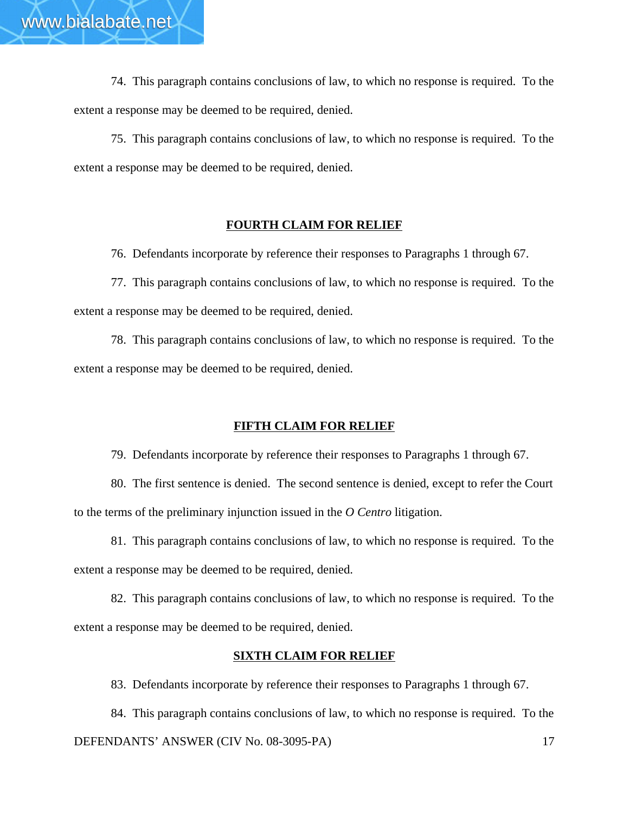74. This paragraph contains conclusions of law, to which no response is required. To the extent a response may be deemed to be required, denied.

75. This paragraph contains conclusions of law, to which no response is required. To the extent a response may be deemed to be required, denied.

### **FOURTH CLAIM FOR RELIEF**

76. Defendants incorporate by reference their responses to Paragraphs 1 through 67.

77. This paragraph contains conclusions of law, to which no response is required. To the extent a response may be deemed to be required, denied.

78. This paragraph contains conclusions of law, to which no response is required. To the extent a response may be deemed to be required, denied.

## **FIFTH CLAIM FOR RELIEF**

79. Defendants incorporate by reference their responses to Paragraphs 1 through 67.

80. The first sentence is denied. The second sentence is denied, except to refer the Court to the terms of the preliminary injunction issued in the *O Centro* litigation.

81. This paragraph contains conclusions of law, to which no response is required. To the extent a response may be deemed to be required, denied.

82. This paragraph contains conclusions of law, to which no response is required. To the extent a response may be deemed to be required, denied.

### **SIXTH CLAIM FOR RELIEF**

83. Defendants incorporate by reference their responses to Paragraphs 1 through 67.

DEFENDANTS' ANSWER (CIV No. 08-3095-PA) 17 84. This paragraph contains conclusions of law, to which no response is required. To the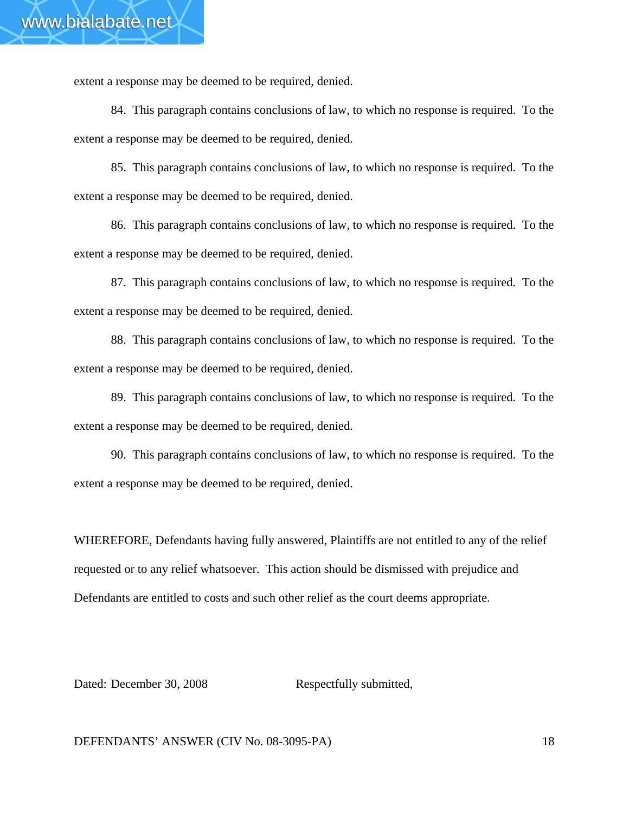extent a response may be deemed to be required, denied.

84. This paragraph contains conclusions of law, to which no response is required. To the extent a response may be deemed to be required, denied.

85. This paragraph contains conclusions of law, to which no response is required. To the extent a response may be deemed to be required, denied.

86. This paragraph contains conclusions of law, to which no response is required. To the extent a response may be deemed to be required, denied.

87. This paragraph contains conclusions of law, to which no response is required. To the extent a response may be deemed to be required, denied.

88. This paragraph contains conclusions of law, to which no response is required. To the extent a response may be deemed to be required, denied.

89. This paragraph contains conclusions of law, to which no response is required. To the extent a response may be deemed to be required, denied.

90. This paragraph contains conclusions of law, to which no response is required. To the extent a response may be deemed to be required, denied.

WHEREFORE, Defendants having fully answered, Plaintiffs are not entitled to any of the relief requested or to any relief whatsoever. This action should be dismissed with prejudice and Defendants are entitled to costs and such other relief as the court deems appropriate.

Dated: December 30, 2008 Respectfully submitted,